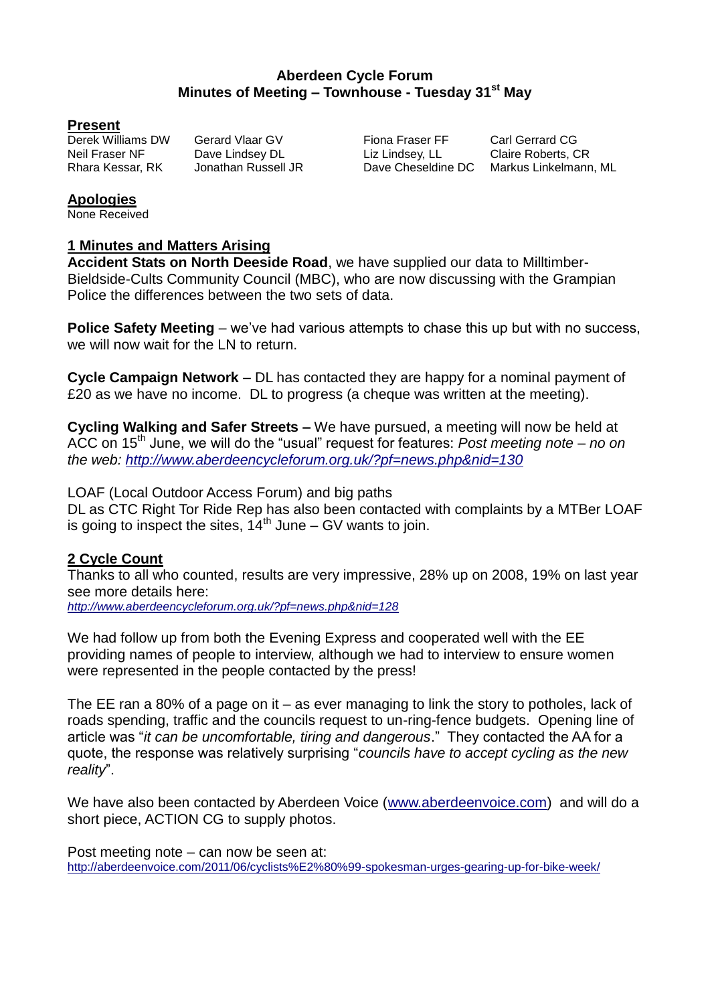## **Aberdeen Cycle Forum Minutes of Meeting – Townhouse - Tuesday 31st May**

#### **Present**

Neil Fraser NF **Dave Lindsey DL** Liz Lindsey, LL Claire Roberts, CR<br>Rhara Kessar, RK Jonathan Russell JR Dave Cheseldine DC Markus Linkelmann

Derek Williams DW Gerard Vlaar GV Fiona Fraser FF Carl Gerrard CG

Rhara Kessar, RK Jonathan Russell JR Dave Cheseldine DC Markus Linkelmann, ML

## **Apologies**

None Received

## **1 Minutes and Matters Arising**

**Accident Stats on North Deeside Road**, we have supplied our data to Milltimber-Bieldside-Cults Community Council (MBC), who are now discussing with the Grampian Police the differences between the two sets of data.

**Police Safety Meeting** – we've had various attempts to chase this up but with no success, we will now wait for the LN to return.

**Cycle Campaign Network** – DL has contacted they are happy for a nominal payment of £20 as we have no income. DL to progress (a cheque was written at the meeting).

**Cycling Walking and Safer Streets –** We have pursued, a meeting will now be held at ACC on 15th June, we will do the "usual" request for features: *Post meeting note – no on the web: <http://www.aberdeencycleforum.org.uk/?pf=news.php&nid=130>*

LOAF (Local Outdoor Access Forum) and big paths

DL as CTC Right Tor Ride Rep has also been contacted with complaints by a MTBer LOAF is going to inspect the sites,  $14<sup>th</sup>$  June – GV wants to join.

## **2 Cycle Count**

Thanks to all who counted, results are very impressive, 28% up on 2008, 19% on last year see more details here:

*<http://www.aberdeencycleforum.org.uk/?pf=news.php&nid=128>*

We had follow up from both the Evening Express and cooperated well with the EE providing names of people to interview, although we had to interview to ensure women were represented in the people contacted by the press!

The EE ran a 80% of a page on it – as ever managing to link the story to potholes, lack of roads spending, traffic and the councils request to un-ring-fence budgets. Opening line of article was "*it can be uncomfortable, tiring and dangerous*." They contacted the AA for a quote, the response was relatively surprising "*councils have to accept cycling as the new reality*".

We have also been contacted by Aberdeen Voice [\(www.aberdeenvoice.com\)](http://www.aberdeenvoice.com/) and will do a short piece, ACTION CG to supply photos.

Post meeting note – can now be seen at: <http://aberdeenvoice.com/2011/06/cyclists%E2%80%99-spokesman-urges-gearing-up-for-bike-week/>